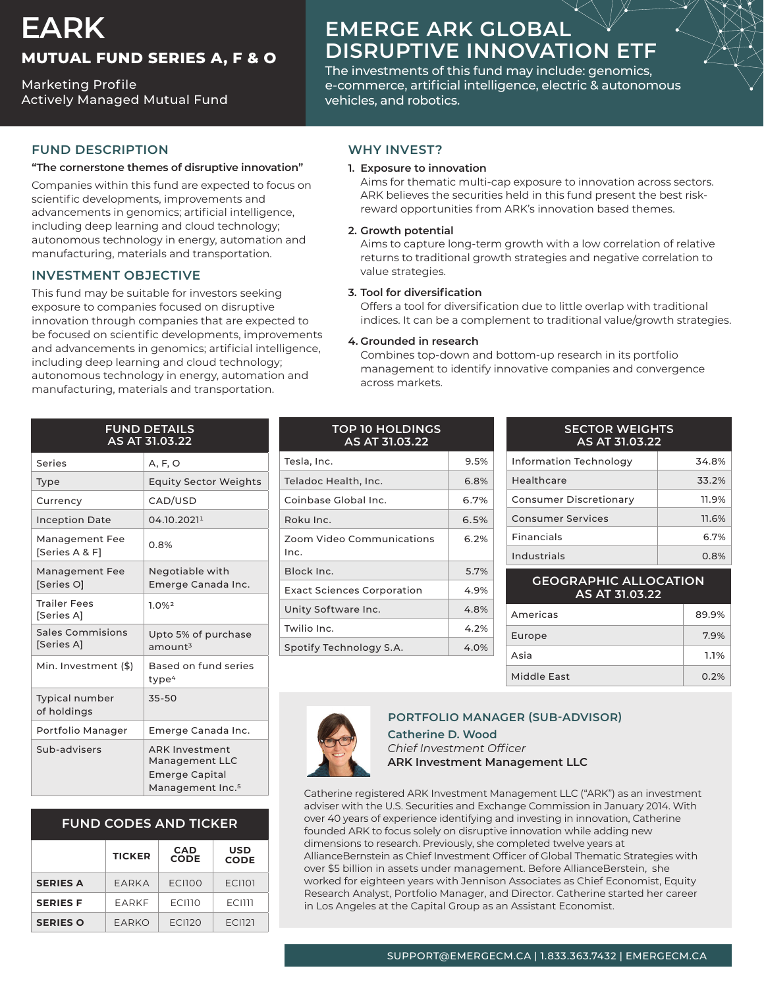## **EARK MUTUAL FUND SERIES A, F & O**

**Marketing Profile** Actively Managed Mutual Fund

# **EMERGE ARK GLOBAL DISRUPTIVE INNOVATION ETF**

The investments of this fund may include: genomics, e-commerce, artificial intelligence, electric & autonomous vehicles, and robotics.

## **FUND DESCRIPTION**

#### "The cornerstone themes of disruptive innovation"

Companies within this fund are expected to focus on scientific developments, improvements and advancements in genomics; artificial intelligence, including deep learning and cloud technology; autonomous technology in energy, automation and manufacturing, materials and transportation.

## **INVESTMENT OBJECTIVE**

This fund may be suitable for investors seeking exposure to companies focused on disruptive innovation through companies that are expected to be focused on scientific developments, improvements and advancements in genomics; artificial intelligence, including deep learning and cloud technology; autonomous technology in energy, automation and manufacturing, materials and transportation.

| <b>FUND DETAILS</b><br>AS AT 31.03.22 |                                                                                                  |  |
|---------------------------------------|--------------------------------------------------------------------------------------------------|--|
| Series                                | A, F, O                                                                                          |  |
| <b>Type</b>                           | <b>Equity Sector Weights</b>                                                                     |  |
| Currency                              | CAD/USD                                                                                          |  |
| <b>Inception Date</b>                 | 04.10.20211                                                                                      |  |
| Management Fee<br>[Series A & F]      | 0.8%                                                                                             |  |
| <b>Management Fee</b><br>[Series O]   | Negotiable with<br>Emerge Canada Inc.                                                            |  |
| <b>Trailer Fees</b><br>[Series A]     | 1.0%2                                                                                            |  |
| Sales Commisions<br>[Series A]        | Upto 5% of purchase<br>$a$ mount $3$                                                             |  |
| Min. Investment (\$)                  | Based on fund series<br>type <sup>4</sup>                                                        |  |
| <b>Typical number</b><br>of holdings  | 35-50                                                                                            |  |
| Portfolio Manager                     | Emerge Canada Inc.                                                                               |  |
| Sub-advisers                          | <b>ARK Investment</b><br>Management LLC<br><b>Emerge Capital</b><br>Management Inc. <sup>5</sup> |  |

## **FUND CODES AND TICKER**

|                 | <b>TICKER</b> | <b>CAD</b><br><b>CODE</b> | <b>USD</b><br><b>CODE</b> |
|-----------------|---------------|---------------------------|---------------------------|
| <b>SERIES A</b> | EARKA         | <b>ECI100</b>             | <b>ECI101</b>             |
| <b>SERIES F</b> | FARKF         | <b>ECI110</b>             | <b>FCIIII</b>             |
| <b>SERIES O</b> | FARKO         | <b>FCI120</b>             | FCI121                    |

## **WHY INVEST?**

#### **1. Exposure to innovation**

Aims for thematic multi-cap exposure to innovation across sectors. reward opportunities from ARK's innovation based themes. ARK believes the securities held in this fund present the best risk-

#### **potential Growth 2.**

Aims to capture long-term growth with a low correlation of relative returns to traditional growth strategies and negative correlation to value strategies.

#### **3.** Tool for diversification

Offers a tool for diversification due to little overlap with traditional indices. It can be a complement to traditional value/growth strategies.

#### **4.** Grounded in research

Combines top-down and bottom-up research in its portfolio management to identify innovative companies and convergence across markets.

| <b>TOP 10 HOLDINGS</b><br>AS AT 31.03.22 |         |  |
|------------------------------------------|---------|--|
| Tesla, Inc.                              | 9.5%    |  |
| Teladoc Health, Inc.                     | 6.8%    |  |
| Coinbase Global Inc.                     | 6.7%    |  |
| Roku Inc.                                | 6.5%    |  |
| Zoom Video Communications<br>Inc.        | 6.2%    |  |
| Block Inc.                               | 5.7%    |  |
| <b>Exact Sciences Corporation</b>        | 4.9%    |  |
| Unity Software Inc.                      | 4.8%    |  |
| Twilio Inc.                              | $4.2\%$ |  |
| Spotify Technology S.A.                  | 4.0%    |  |

#### **SECTOR WEIGHTS 31.03.22 AT AS**

| Information Technology   | 34.8% |
|--------------------------|-------|
| Healthcare               | 33.2% |
| Consumer Discretionary   | 11.9% |
| <b>Consumer Services</b> | 11.6% |
| Financials               | 6.7%  |
| Industrials              | 0.8%  |
|                          |       |

#### **GEOGRAPHIC ALLOCATION 31.03.22 AT AS**

| Americas    | 89.9% |
|-------------|-------|
| Europe      | 7.9%  |
| Asia        | 1.1%  |
| Middle East | 0.2%  |



## **PORTFOLIO MANAGER (SUB-ADVISOR)**

**Catherine D. Wood** *Officer Investment Chief* **ARK Investment Management LLC** 

Catherine registered ARK Investment Management LLC ("ARK") as an investment adviser with the U.S. Securities and Exchange Commission in January 2014. With over 40 years of experience identifying and investing in innovation, Catherine founded ARK to focus solely on disruptive innovation while adding new dimensions to research. Previously, she completed twelve years at AllianceBernstein as Chief Investment Officer of Global Thematic Strategies with over \$5 billion in assets under management. Before AllianceBerstein, she worked for eighteen years with Jennison Associates as Chief Economist, Equity Research Analyst, Portfolio Manager, and Director. Catherine started her career in Los Angeles at the Capital Group as an Assistant Economist.